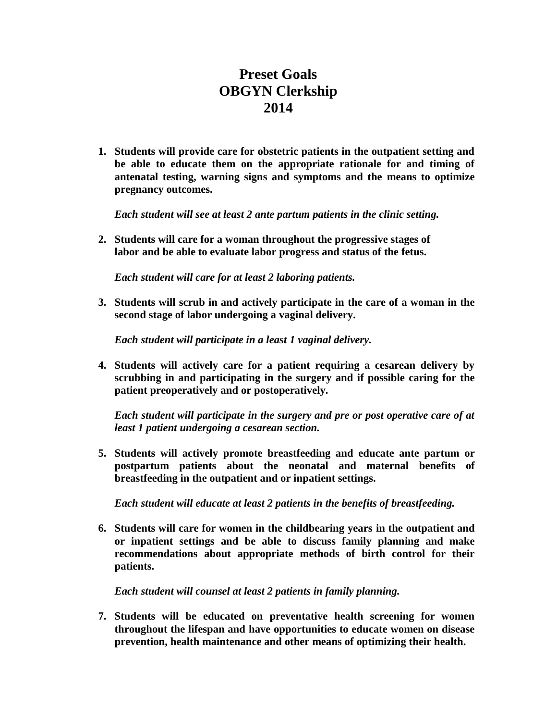## **Preset Goals OBGYN Clerkship 2014**

**1. Students will provide care for obstetric patients in the outpatient setting and be able to educate them on the appropriate rationale for and timing of antenatal testing, warning signs and symptoms and the means to optimize pregnancy outcomes.** 

*Each student will see at least 2 ante partum patients in the clinic setting.*

**2. Students will care for a woman throughout the progressive stages of labor and be able to evaluate labor progress and status of the fetus.**

*Each student will care for at least 2 laboring patients.*

**3. Students will scrub in and actively participate in the care of a woman in the second stage of labor undergoing a vaginal delivery.**

*Each student will participate in a least 1 vaginal delivery.*

**4. Students will actively care for a patient requiring a cesarean delivery by scrubbing in and participating in the surgery and if possible caring for the patient preoperatively and or postoperatively.**

*Each student will participate in the surgery and pre or post operative care of at least 1 patient undergoing a cesarean section.*

**5. Students will actively promote breastfeeding and educate ante partum or postpartum patients about the neonatal and maternal benefits of breastfeeding in the outpatient and or inpatient settings.**

*Each student will educate at least 2 patients in the benefits of breastfeeding.*

**6. Students will care for women in the childbearing years in the outpatient and or inpatient settings and be able to discuss family planning and make recommendations about appropriate methods of birth control for their patients.**

*Each student will counsel at least 2 patients in family planning.*

**7. Students will be educated on preventative health screening for women throughout the lifespan and have opportunities to educate women on disease prevention, health maintenance and other means of optimizing their health.**